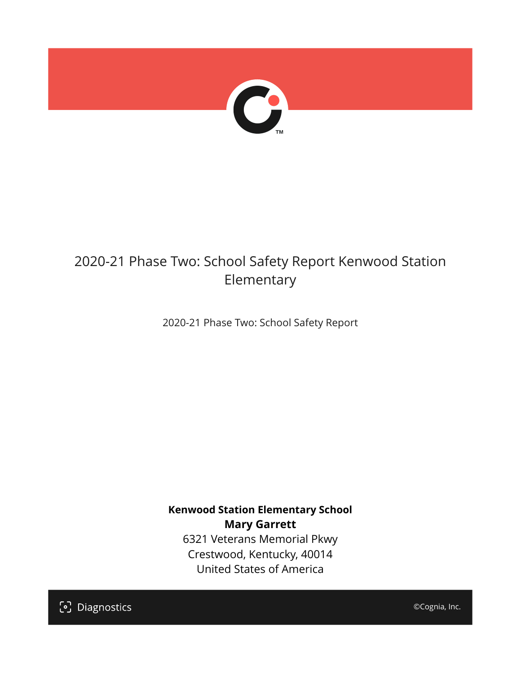

## 2020-21 Phase Two: School Safety Report Kenwood Station Elementary

2020-21 Phase Two: School Safety Report

**Kenwood Station Elementary School Mary Garrett** 6321 Veterans Memorial Pkwy Crestwood, Kentucky, 40014 United States of America

[၁] Diagnostics

©Cognia, Inc.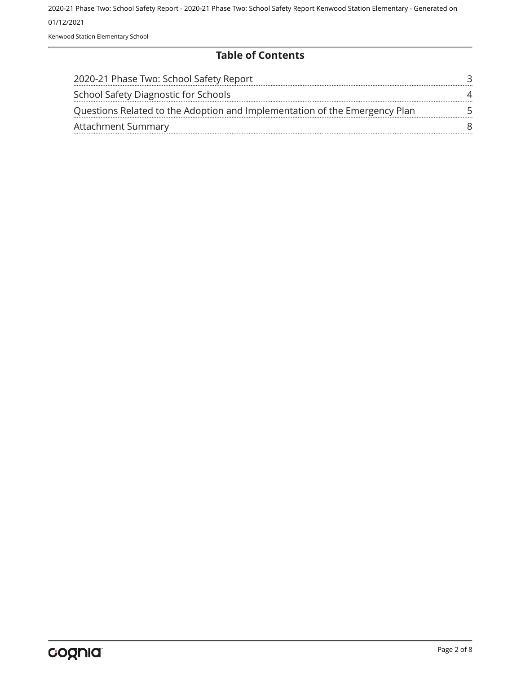2020-21 Phase Two: School Safety Report - 2020-21 Phase Two: School Safety Report Kenwood Station Elementary - Generated on 01/12/2021 Kenwood Station Elementary School

#### **Table of Contents**

| 2020-21 Phase Two: School Safety Report                                    |  |
|----------------------------------------------------------------------------|--|
| School Safety Diagnostic for Schools                                       |  |
| Questions Related to the Adoption and Implementation of the Emergency Plan |  |
| <b>Attachment Summary</b>                                                  |  |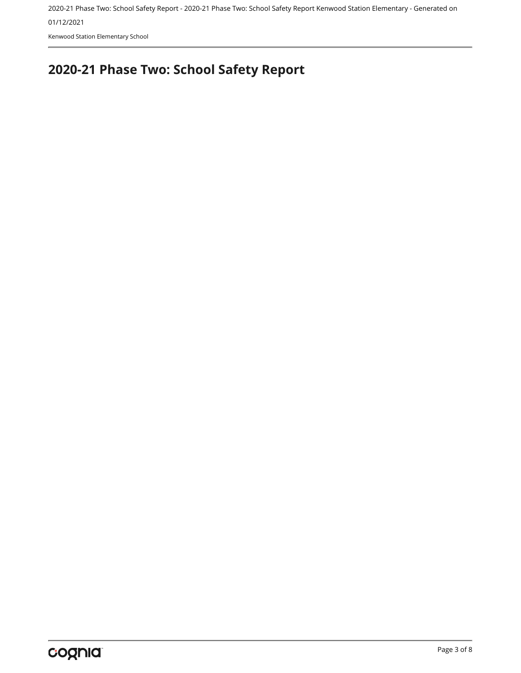2020-21 Phase Two: School Safety Report - 2020-21 Phase Two: School Safety Report Kenwood Station Elementary - Generated on

01/12/2021

Kenwood Station Elementary School

# <span id="page-2-0"></span>**2020-21 Phase Two: School Safety Report**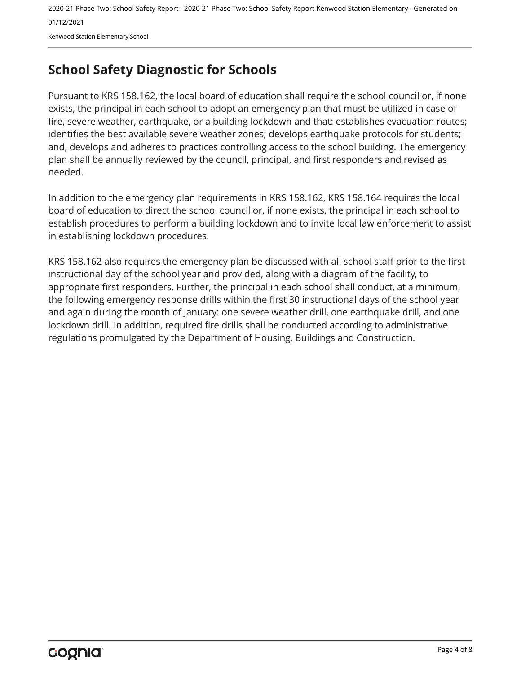2020-21 Phase Two: School Safety Report - 2020-21 Phase Two: School Safety Report Kenwood Station Elementary - Generated on 01/12/2021 Kenwood Station Elementary School

## <span id="page-3-0"></span>**School Safety Diagnostic for Schools**

Pursuant to KRS 158.162, the local board of education shall require the school council or, if none exists, the principal in each school to adopt an emergency plan that must be utilized in case of fire, severe weather, earthquake, or a building lockdown and that: establishes evacuation routes; identifies the best available severe weather zones; develops earthquake protocols for students; and, develops and adheres to practices controlling access to the school building. The emergency plan shall be annually reviewed by the council, principal, and first responders and revised as needed.

In addition to the emergency plan requirements in KRS 158.162, KRS 158.164 requires the local board of education to direct the school council or, if none exists, the principal in each school to establish procedures to perform a building lockdown and to invite local law enforcement to assist in establishing lockdown procedures.

KRS 158.162 also requires the emergency plan be discussed with all school staff prior to the first instructional day of the school year and provided, along with a diagram of the facility, to appropriate first responders. Further, the principal in each school shall conduct, at a minimum, the following emergency response drills within the first 30 instructional days of the school year and again during the month of January: one severe weather drill, one earthquake drill, and one lockdown drill. In addition, required fire drills shall be conducted according to administrative regulations promulgated by the Department of Housing, Buildings and Construction.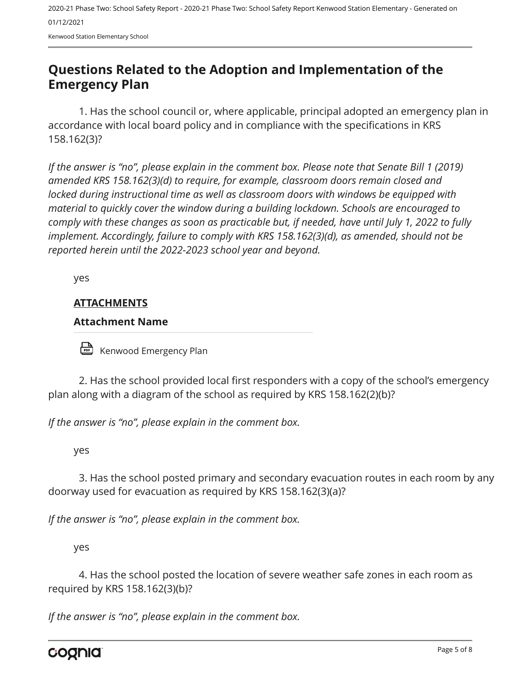2020-21 Phase Two: School Safety Report - 2020-21 Phase Two: School Safety Report Kenwood Station Elementary - Generated on 01/12/2021

Kenwood Station Elementary School

### <span id="page-4-0"></span>**Questions Related to the Adoption and Implementation of the Emergency Plan**

1. Has the school council or, where applicable, principal adopted an emergency plan in accordance with local board policy and in compliance with the specifications in KRS 158.162(3)?

*If the answer is "no", please explain in the comment box. Please note that Senate Bill 1 (2019) amended KRS 158.162(3)(d) to require, for example, classroom doors remain closed and locked during instructional time as well as classroom doors with windows be equipped with material to quickly cover the window during a building lockdown. Schools are encouraged to comply with these changes as soon as practicable but, if needed, have until July 1, 2022 to fully implement. Accordingly, failure to comply with KRS 158.162(3)(d), as amended, should not be reported herein until the 2022-2023 school year and beyond.*

yes

#### **ATTACHMENTS**

#### **Attachment Name**

Kenwood Emergency Plan

2. Has the school provided local first responders with a copy of the school's emergency plan along with a diagram of the school as required by KRS 158.162(2)(b)?

*If the answer is "no", please explain in the comment box.*

yes

3. Has the school posted primary and secondary evacuation routes in each room by any doorway used for evacuation as required by KRS 158.162(3)(a)?

*If the answer is "no", please explain in the comment box.*

yes

4. Has the school posted the location of severe weather safe zones in each room as required by KRS 158.162(3)(b)?

*If the answer is "no", please explain in the comment box.*

cognia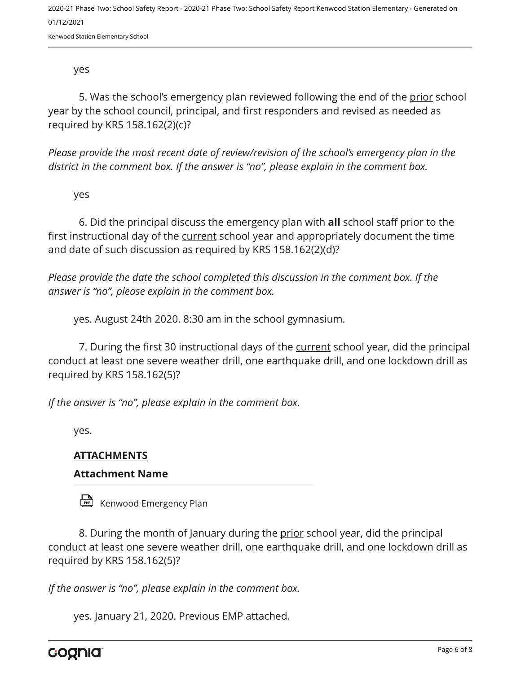2020-21 Phase Two: School Safety Report - 2020-21 Phase Two: School Safety Report Kenwood Station Elementary - Generated on 01/12/2021

Kenwood Station Elementary School

yes

5. Was the school's emergency plan reviewed following the end of the prior school year by the school council, principal, and first responders and revised as needed as required by KRS 158.162(2)(c)?

*Please provide the most recent date of review/revision of the school's emergency plan in the district in the comment box. If the answer is "no", please explain in the comment box.* 

yes

6. Did the principal discuss the emergency plan with **all** school staff prior to the first instructional day of the current school year and appropriately document the time and date of such discussion as required by KRS 158.162(2)(d)?

*Please provide the date the school completed this discussion in the comment box. If the answer is "no", please explain in the comment box.*

yes. August 24th 2020. 8:30 am in the school gymnasium.

7. During the first 30 instructional days of the current school year, did the principal conduct at least one severe weather drill, one earthquake drill, and one lockdown drill as required by KRS 158.162(5)?

*If the answer is "no", please explain in the comment box.*

yes.

#### **ATTACHMENTS**

#### **Attachment Name**

Kenwood Emergency Plan

8. During the month of January during the prior school year, did the principal conduct at least one severe weather drill, one earthquake drill, and one lockdown drill as required by KRS 158.162(5)?

*If the answer is "no", please explain in the comment box.*

yes. January 21, 2020. Previous EMP attached.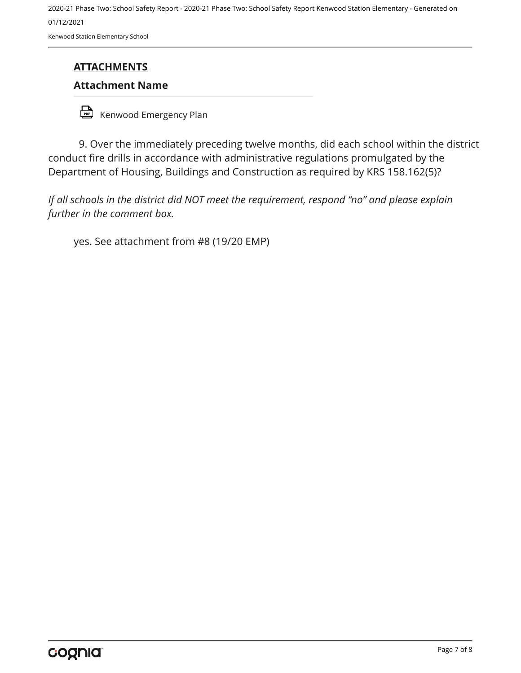2020-21 Phase Two: School Safety Report - 2020-21 Phase Two: School Safety Report Kenwood Station Elementary - Generated on 01/12/2021 Kenwood Station Elementary School

#### **ATTACHMENTS**

#### **Attachment Name**

Kenwood Emergency Plan

9. Over the immediately preceding twelve months, did each school within the district conduct fire drills in accordance with administrative regulations promulgated by the Department of Housing, Buildings and Construction as required by KRS 158.162(5)?

*If all schools in the district did NOT meet the requirement, respond "no" and please explain further in the comment box.* 

yes. See attachment from #8 (19/20 EMP)